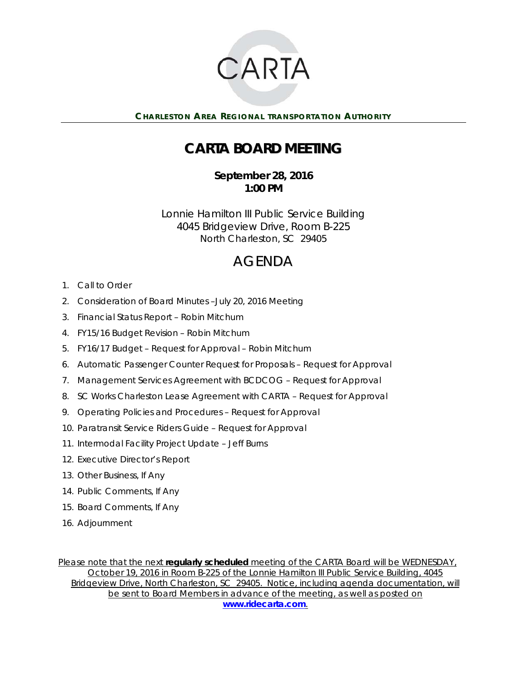

**CHARLESTON AREA REGIONAL TRANSPORTATION AUTHORITY** 

## **CARTA BOARD MEETING**

**September 28, 2016 1:00 PM** 

Lonnie Hamilton III Public Service Building 4045 Bridgeview Drive, Room B-225 North Charleston, SC 29405

## AGENDA

- 1. Call to Order
- 2. Consideration of Board Minutes –July 20, 2016 Meeting
- 3. Financial Status Report Robin Mitchum
- 4. FY15/16 Budget Revision Robin Mitchum
- 5. FY16/17 Budget Request for Approval Robin Mitchum
- 6. Automatic Passenger Counter Request for Proposals Request for Approval
- 7. Management Services Agreement with BCDCOG Request for Approval
- 8. SC Works Charleston Lease Agreement with CARTA Request for Approval
- 9. Operating Policies and Procedures Request for Approval
- 10. Paratransit Service Riders Guide Request for Approval
- 11. Intermodal Facility Project Update Jeff Burns
- 12. Executive Director's Report
- 13. Other Business, If Any
- 14. Public Comments, If Any
- 15. Board Comments, If Any
- 16. Adjournment

*Please note that the next regularly scheduled meeting of the CARTA Board will be WEDNESDAY, October 19, 2016 in Room B-225 of the Lonnie Hamilton III Public Service Building, 4045 Bridgeview Drive, North Charleston, SC 29405. Notice, including agenda documentation, will be sent to Board Members in advance of the meeting, as well as posted on www.ridecarta.com.*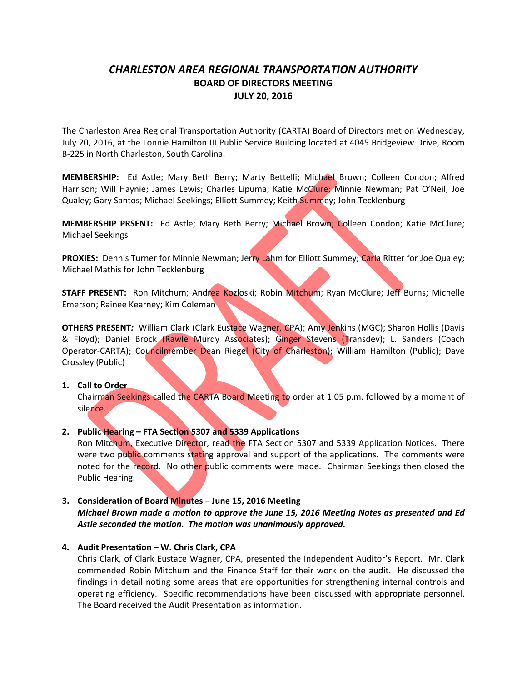## *CHARLESTON AREA REGIONAL TRANSPORTATION AUTHORITY* **BOARD OF DIRECTORS MEETING JULY 20, 2016**

The Charleston Area Regional Transportation Authority (CARTA) Board of Directors met on Wednesday, July 20, 2016, at the Lonnie Hamilton III Public Service Building located at 4045 Bridgeview Drive, Room B‐225 in North Charleston, South Carolina.

**MEMBERSHIP:**  Ed Astle; Mary Beth Berry; Marty Bettelli; Michael Brown; Colleen Condon; Alfred Harrison; Will Haynie; James Lewis; Charles Lipuma; Katie McClure; Minnie Newman; Pat O'Neil; Joe Qualey; Gary Santos; Michael Seekings; Elliott Summey; Keith Summey; John Tecklenburg

**MEMBERSHIP PRSENT:**  Ed Astle; Mary Beth Berry; Michael Brown; Colleen Condon; Katie McClure; Michael Seekings

**PROXIES:** Dennis Turner for Minnie Newman; Jerry Lahm for Elliott Summey; Carla Ritter for Joe Qualey; Michael Mathis for John Tecklenburg

**STAFF PRESENT:** Ron Mitchum; Andrea Kozloski; Robin Mitchum; Ryan McClure; Jeff Burns; Michelle Emerson; Rainee Kearney; Kim Coleman

**OTHERS PRESENT***:* William Clark (Clark Eustace Wagner, CPA); Amy Jenkins (MGC); Sharon Hollis (Davis & Floyd); Daniel Brock (Rawle Murdy Associates); Ginger Stevens (Transdev); L. Sanders (Coach Operator-CARTA); Councilmember Dean Riegel (City of Charleston); William Hamilton (Public); Dave Crossley (Public)

### **1. Call to Order**

Chairman Seekings called the CARTA Board Meeting to order at 1:05 p.m. followed by a moment of silence.

## **2. Public Hearing – FTA Section 5307 and 5339 Applications**

Ron Mitchum, Executive Director, read the FTA Section 5307 and 5339 Application Notices. There were two public comments stating approval and support of the applications. The comments were noted for the record. No other public comments were made. Chairman Seekings then closed the Public Hearing.

## **3. Consideration of Board Minutes – June 15, 2016 Meeting**

*Michael Brown made a motion to approve the June 15, 2016 Meeting Notes as presented and Ed Astle seconded the motion. The motion was unanimously approved.*

### **4. Audit Presentation – W. Chris Clark, CPA**

Chris Clark, of Clark Eustace Wagner, CPA, presented the Independent Auditor's Report. Mr. Clark commended Robin Mitchum and the Finance Staff for their work on the audit. He discussed the findings in detail noting some areas that are opportunities for strengthening internal controls and operating efficiency. Specific recommendations have been discussed with appropriate personnel. The Board received the Audit Presentation as information.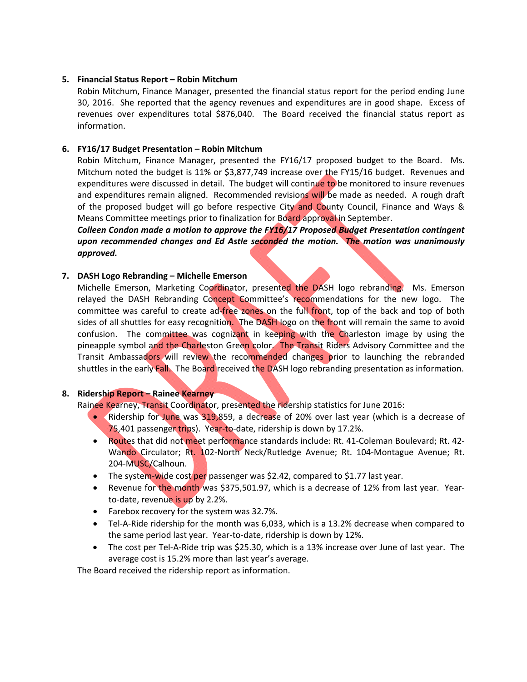## **5. Financial Status Report – Robin Mitchum**

Robin Mitchum, Finance Manager, presented the financial status report for the period ending June 30, 2016. She reported that the agency revenues and expenditures are in good shape. Excess of revenues over expenditures total \$876,040. The Board received the financial status report as information.

## **6. FY16/17 Budget Presentation – Robin Mitchum**

Robin Mitchum, Finance Manager, presented the FY16/17 proposed budget to the Board. Ms. Mitchum noted the budget is 11% or \$3,877,749 increase over the FY15/16 budget. Revenues and expenditures were discussed in detail. The budget will continue to be monitored to insure revenues and expenditures remain aligned. Recommended revisions will be made as needed. A rough draft of the proposed budget will go before respective City and County Council, Finance and Ways & Means Committee meetings prior to finalization for Board approval in September.

*Colleen Condon made a motion to approve the FY16/17 Proposed Budget Presentation contingent upon recommended changes and Ed Astle seconded the motion. The motion was unanimously approved.* 

## **7. DASH Logo Rebranding – Michelle Emerson**

Michelle Emerson, Marketing Coordinator, presented the DASH logo rebranding. Ms. Emerson relayed the DASH Rebranding Concept Committee's recommendations for the new logo. The committee was careful to create ad-free zones on the full front, top of the back and top of both sides of all shuttles for easy recognition. The DASH logo on the front will remain the same to avoid confusion. The committee was cognizant in keeping with the Charleston image by using the pineapple symbol and the Charleston Green color. The Transit Riders Advisory Committee and the Transit Ambassadors will review the recommended changes prior to launching the rebranded shuttles in the early Fall. The Board received the DASH logo rebranding presentation as information.

### **8. Ridership Report – Rainee Kearney**

Rainee Kearney, Transit Coordinator, presented the ridership statistics for June 2016:

- Ridership for June was 319,859, a decrease of 20% over last year (which is a decrease of 75,401 passenger trips). Year-to-date, ridership is down by 17.2%.
- Routes that did not meet performance standards include: Rt. 41-Coleman Boulevard; Rt. 42-Wando Circulator; Rt. 102-North Neck/Rutledge Avenue; Rt. 104-Montague Avenue; Rt. 204‐MUSC/Calhoun.
- The system-wide cost per passenger was \$2.42, compared to \$1.77 last year.
- Revenue for the month was \$375,501.97, which is a decrease of 12% from last year. Yearto‐date, revenue is up by 2.2%.
- Farebox recovery for the system was 32.7%.
- Tel-A-Ride ridership for the month was 6,033, which is a 13.2% decrease when compared to the same period last year. Year-to-date, ridership is down by 12%.
- The cost per Tel-A-Ride trip was \$25.30, which is a 13% increase over June of last year. The average cost is 15.2% more than last year's average.

The Board received the ridership report as information.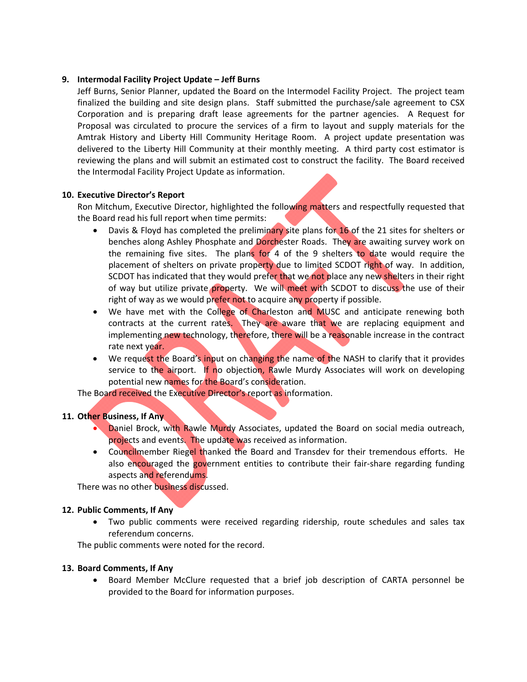## **9. Intermodal Facility Project Update – Jeff Burns**

Jeff Burns, Senior Planner, updated the Board on the Intermodel Facility Project. The project team finalized the building and site design plans. Staff submitted the purchase/sale agreement to CSX Corporation and is preparing draft lease agreements for the partner agencies. A Request for Proposal was circulated to procure the services of a firm to layout and supply materials for the Amtrak History and Liberty Hill Community Heritage Room. A project update presentation was delivered to the Liberty Hill Community at their monthly meeting. A third party cost estimator is reviewing the plans and will submit an estimated cost to construct the facility. The Board received the Intermodal Facility Project Update as information.

### **10. Executive Director's Report**

Ron Mitchum, Executive Director, highlighted the following matters and respectfully requested that the Board read his full report when time permits:

- Davis & Floyd has completed the preliminary site plans for  $16$  of the 21 sites for shelters or benches along Ashley Phosphate and Dorchester Roads. They are awaiting survey work on the remaining five sites. The plans for 4 of the 9 shelters to date would require the placement of shelters on private property due to limited SCDOT right of way. In addition, SCDOT has indicated that they would prefer that we not place any new shelters in their right of way but utilize private property. We will meet with SCDOT to discuss the use of their right of way as we would prefer not to acquire any property if possible.
- We have met with the College of Charleston and MUSC and anticipate renewing both contracts at the current rates. They are aware that we are replacing equipment and implementing new technology, therefore, there will be a reasonable increase in the contract rate next year.
- We request the Board's input on changing the name of the NASH to clarify that it provides service to the airport. If no objection, Rawle Murdy Associates will work on developing potential new names for the Board's consideration.

The Board received the Executive Director's report as information.

## **11. Other Business, If Any**

- **Daniel Brock, with Rawle Murdy Associates, updated the Board on social media outreach,** projects and events. The update was received as information.
- Councilmember Riegel thanked the Board and Transdev for their tremendous efforts. He also encouraged the government entities to contribute their fair-share regarding funding aspects and referendums.

There was no other business discussed.

## **12. Public Comments, If Any**

 Two public comments were received regarding ridership, route schedules and sales tax referendum concerns.

The public comments were noted for the record.

## **13. Board Comments, If Any**

 Board Member McClure requested that a brief job description of CARTA personnel be provided to the Board for information purposes.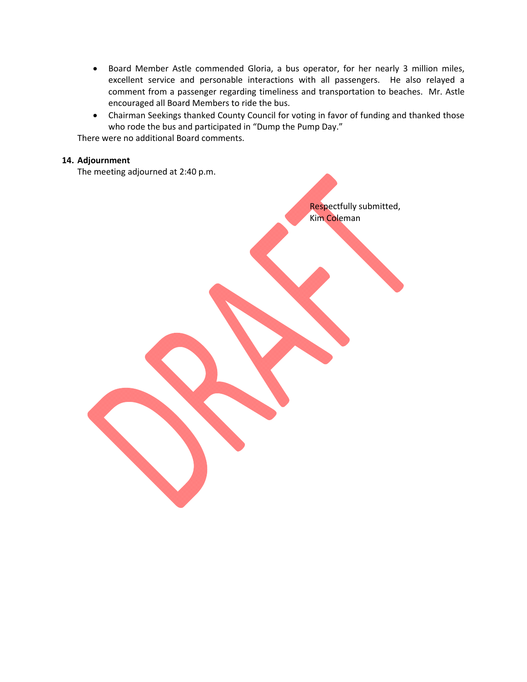- Board Member Astle commended Gloria, a bus operator, for her nearly 3 million miles, excellent service and personable interactions with all passengers. He also relayed a comment from a passenger regarding timeliness and transportation to beaches. Mr. Astle encouraged all Board Members to ride the bus.
- Chairman Seekings thanked County Council for voting in favor of funding and thanked those who rode the bus and participated in "Dump the Pump Day."

Respectfully submitted,

Kim Coleman

There were no additional Board comments.

## **14. Adjournment**

The meeting adjourned at 2:40 p.m.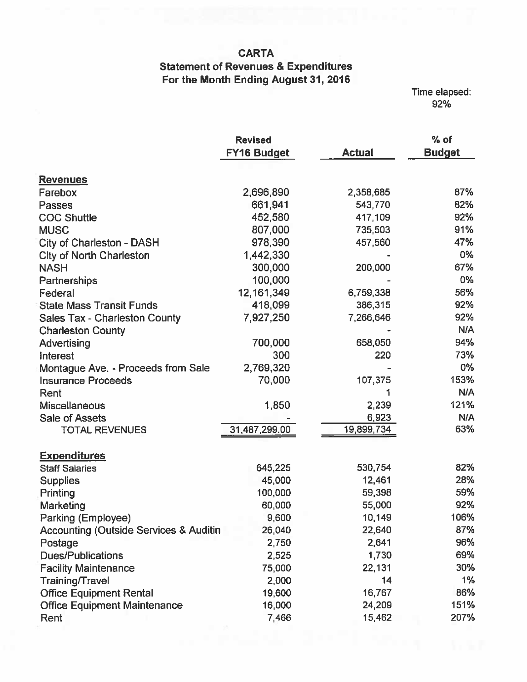## **CARTA**

## **Statement of Revenues & Expenditures** For the Month Ending August 31, 2016

Time elapsed:<br>92%

|                                                   | <b>Revised</b>     |               | $%$ of        |
|---------------------------------------------------|--------------------|---------------|---------------|
|                                                   | <b>FY16 Budget</b> | <b>Actual</b> | <b>Budget</b> |
|                                                   |                    |               |               |
| <b>Revenues</b>                                   |                    |               |               |
| Farebox                                           | 2,696,890          | 2,358,685     | 87%           |
| <b>Passes</b>                                     | 661,941            | 543,770       | 82%           |
| <b>COC Shuttle</b>                                | 452,580            | 417,109       | 92%           |
| <b>MUSC</b>                                       | 807,000            | 735,503       | 91%           |
| <b>City of Charleston - DASH</b>                  | 978,390            | 457,560       | 47%           |
| City of North Charleston                          | 1,442,330          |               | 0%            |
| <b>NASH</b>                                       | 300,000            | 200,000       | 67%           |
| Partnerships                                      | 100,000            |               | $0\%$         |
| Federal                                           | 12, 161, 349       | 6,759,338     | 56%           |
| <b>State Mass Transit Funds</b>                   | 418,099            | 386,315       | 92%           |
| <b>Sales Tax - Charleston County</b>              | 7,927,250          | 7,266,646     | 92%           |
| <b>Charleston County</b>                          |                    |               | N/A           |
| Advertising                                       | 700,000            | 658,050       | 94%           |
| <b>Interest</b>                                   | 300                | 220           | 73%           |
| Montague Ave. - Proceeds from Sale                | 2,769,320          |               | 0%            |
| <b>Insurance Proceeds</b>                         | 70,000             | 107,375       | 153%          |
| Rent                                              |                    |               | N/A           |
| <b>Miscellaneous</b>                              | 1,850              | 2,239         | 121%          |
| <b>Sale of Assets</b>                             |                    | 6,923         | <b>N/A</b>    |
| <b>TOTAL REVENUES</b>                             | 31,487,299.00      | 19,899,734    | 63%           |
| <b>Expenditures</b>                               |                    |               |               |
| <b>Staff Salaries</b>                             | 645,225            | 530,754       | 82%           |
| <b>Supplies</b>                                   | 45,000             | 12,461        | 28%           |
| Printing                                          | 100,000            | 59,398        | 59%           |
| Marketing                                         | 60,000             | 55,000        | 92%           |
| Parking (Employee)                                | 9,600              | 10,149        | 106%          |
| <b>Accounting (Outside Services &amp; Auditin</b> | 26,040             | 22,640        | 87%           |
| Postage                                           | 2,750              | 2,641         | 96%           |
| <b>Dues/Publications</b>                          | 2,525              | 1,730         | 69%           |
| <b>Facility Maintenance</b>                       | 75,000             | 22,131        | 30%           |
| Training/Travel                                   | 2,000              | 14            | 1%            |
| <b>Office Equipment Rental</b>                    | 19,600             | 16,767        | 86%           |
| <b>Office Equipment Maintenance</b>               | 16,000             | 24,209        | 151%          |
| Rent                                              | 7,466              | 15,462        | 207%          |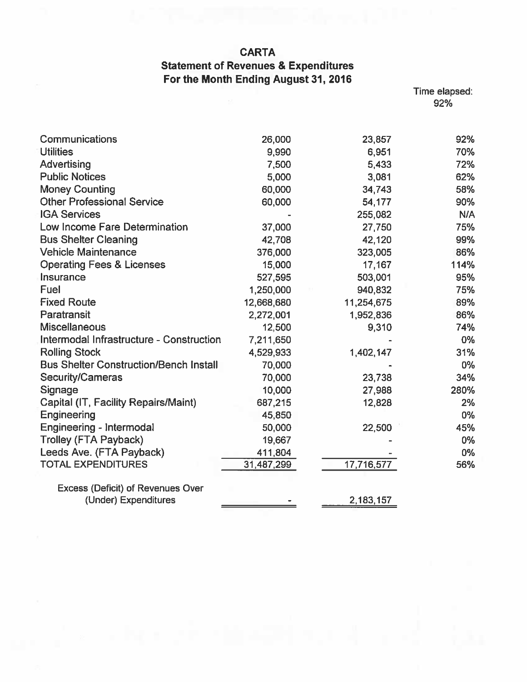## **CARTA**

## **Statement of Revenues & Expenditures** For the Month Ending August 31, 2016

Time elapsed:<br>92%

| Communications                                | 26,000     | 23,857     | 92%  |
|-----------------------------------------------|------------|------------|------|
| <b>Utilities</b>                              | 9,990      | 6,951      | 70%  |
| Advertising                                   | 7,500      | 5,433      | 72%  |
| <b>Public Notices</b>                         | 5,000      | 3,081      | 62%  |
| <b>Money Counting</b>                         | 60,000     | 34,743     | 58%  |
| <b>Other Professional Service</b>             | 60,000     | 54,177     | 90%  |
| <b>IGA Services</b>                           |            | 255,082    | N/A  |
| Low Income Fare Determination                 | 37,000     | 27,750     | 75%  |
| <b>Bus Shelter Cleaning</b>                   | 42,708     | 42,120     | 99%  |
| <b>Vehicle Maintenance</b>                    | 376,000    | 323,005    | 86%  |
| <b>Operating Fees &amp; Licenses</b>          | 15,000     | 17,167     | 114% |
| Insurance                                     | 527,595    | 503,001    | 95%  |
| Fuel                                          | 1,250,000  | 940,832    | 75%  |
| <b>Fixed Route</b>                            | 12,668,680 | 11,254,675 | 89%  |
| Paratransit                                   | 2,272,001  | 1,952,836  | 86%  |
| <b>Miscellaneous</b>                          | 12,500     | 9,310      | 74%  |
| Intermodal Infrastructure - Construction      | 7,211,650  |            | 0%   |
| <b>Rolling Stock</b>                          | 4,529,933  | 1,402,147  | 31%  |
| <b>Bus Shelter Construction/Bench Install</b> | 70,000     |            | 0%   |
| Security/Cameras                              | 70,000     | 23,738     | 34%  |
| Signage                                       | 10,000     | 27,988     | 280% |
| Capital (IT, Facility Repairs/Maint)          | 687,215    | 12,828     | 2%   |
| Engineering                                   | 45,850     |            | 0%   |
| Engineering - Intermodal                      | 50,000     | 22,500     | 45%  |
| <b>Trolley (FTA Payback)</b>                  | 19,667     |            | 0%   |
| Leeds Ave. (FTA Payback)                      | 411,804    |            | 0%   |
| <b>TOTAL EXPENDITURES</b>                     | 31,487,299 | 17,716,577 | 56%  |
| <b>Excess (Deficit) of Revenues Over</b>      |            |            |      |
| (Under) Expenditures                          |            | 2,183,157  |      |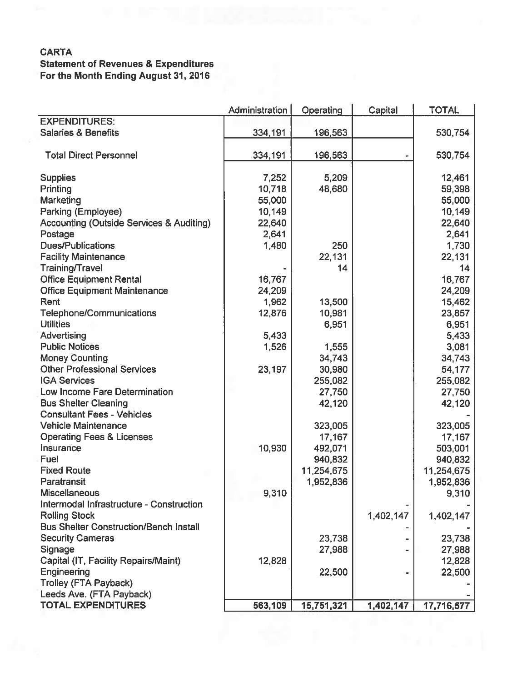## **CARTA Statement of Revenues & Expenditures** For the Month Ending August 31, 2016

|                                                     | Administration | Operating  | Capital   | <b>TOTAL</b> |
|-----------------------------------------------------|----------------|------------|-----------|--------------|
| <b>EXPENDITURES:</b>                                |                |            |           |              |
| <b>Salaries &amp; Benefits</b>                      | 334,191        | 196,563    |           | 530,754      |
| <b>Total Direct Personnel</b>                       |                |            |           |              |
|                                                     | 334,191        | 196,563    |           | 530,754      |
| <b>Supplies</b>                                     | 7,252          | 5,209      |           | 12,461       |
| Printing                                            | 10,718         | 48,680     |           | 59,398       |
| Marketing                                           | 55,000         |            |           | 55,000       |
| Parking (Employee)                                  | 10,149         |            |           | 10,149       |
| <b>Accounting (Outside Services &amp; Auditing)</b> | 22,640         |            |           | 22,640       |
| Postage                                             | 2,641          |            |           | 2,641        |
| <b>Dues/Publications</b>                            | 1,480          | 250        |           | 1,730        |
| <b>Facility Maintenance</b>                         |                | 22,131     |           | 22,131       |
| Training/Travel                                     |                | 14         |           | 14           |
| <b>Office Equipment Rental</b>                      | 16,767         |            |           | 16,767       |
| <b>Office Equipment Maintenance</b>                 | 24,209         |            |           | 24,209       |
| Rent                                                | 1,962          | 13,500     |           | 15,462       |
| <b>Telephone/Communications</b>                     | 12,876         | 10,981     |           | 23,857       |
| <b>Utilities</b>                                    |                | 6,951      |           | 6,951        |
| <b>Advertising</b>                                  | 5,433          |            |           | 5,433        |
| <b>Public Notices</b>                               | 1,526          | 1,555      |           | 3,081        |
| <b>Money Counting</b>                               |                | 34,743     |           | 34,743       |
| <b>Other Professional Services</b>                  | 23,197         | 30,980     |           | 54,177       |
| <b>IGA Services</b>                                 |                | 255,082    |           | 255,082      |
| Low Income Fare Determination                       |                | 27,750     |           | 27,750       |
| <b>Bus Shelter Cleaning</b>                         |                | 42,120     |           | 42,120       |
| <b>Consultant Fees - Vehicles</b>                   |                |            |           |              |
| <b>Vehicle Maintenance</b>                          |                | 323,005    |           | 323,005      |
| <b>Operating Fees &amp; Licenses</b>                |                | 17,167     |           | 17,167       |
| Insurance                                           | 10,930         | 492,071    |           | 503,001      |
| Fuel                                                |                | 940,832    |           | 940,832      |
| <b>Fixed Route</b>                                  |                | 11,254,675 |           | 11,254,675   |
| Paratransit                                         |                | 1,952,836  |           | 1,952,836    |
| <b>Miscellaneous</b>                                | 9,310          |            |           | 9,310        |
| Intermodal Infrastructure - Construction            |                |            |           |              |
| <b>Rolling Stock</b>                                |                |            | 1,402,147 | 1,402,147    |
| <b>Bus Shelter Construction/Bench Install</b>       |                |            |           |              |
| <b>Security Cameras</b>                             |                | 23,738     |           | 23,738       |
| Signage                                             |                | 27,988     |           | 27,988       |
| Capital (IT, Facility Repairs/Maint)                | 12,828         |            |           | 12,828       |
| Engineering                                         |                | 22,500     |           | 22,500       |
| <b>Trolley (FTA Payback)</b>                        |                |            |           |              |
| Leeds Ave. (FTA Payback)                            |                |            |           |              |
| <b>TOTAL EXPENDITURES</b>                           | 563,109        | 15,751,321 | 1,402,147 | 17,716,577   |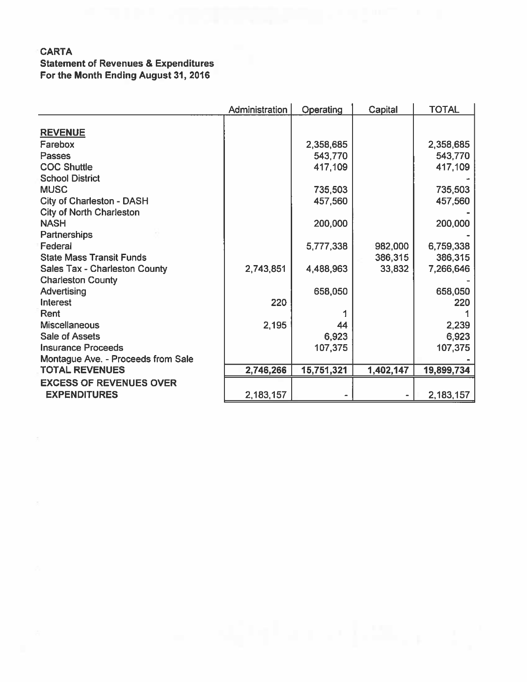## **CARTA Statement of Revenues & Expenditures** For the Month Ending August 31, 2016

|                                      | Administration | Operating  | Capital   | <b>TOTAL</b> |
|--------------------------------------|----------------|------------|-----------|--------------|
|                                      |                |            |           |              |
| <b>REVENUE</b>                       |                |            |           |              |
| Farebox                              |                | 2,358,685  |           | 2,358,685    |
| Passes                               |                | 543,770    |           | 543,770      |
| <b>COC Shuttle</b>                   |                | 417,109    |           | 417,109      |
| <b>School District</b>               |                |            |           |              |
| <b>MUSC</b>                          |                | 735,503    |           | 735,503      |
| <b>City of Charleston - DASH</b>     |                | 457,560    |           | 457,560      |
| <b>City of North Charleston</b>      |                |            |           |              |
| <b>NASH</b>                          |                | 200,000    |           | 200,000      |
| <b>Partnerships</b>                  |                |            |           |              |
| Federal                              |                | 5,777,338  | 982,000   | 6,759,338    |
| <b>State Mass Transit Funds</b>      |                |            | 386,315   | 386,315      |
| <b>Sales Tax - Charleston County</b> | 2,743,851      | 4,488,963  | 33,832    | 7,266,646    |
| <b>Charleston County</b>             |                |            |           |              |
| Advertising                          |                | 658,050    |           | 658,050      |
| Interest                             | 220            |            |           | 220          |
| Rent                                 |                |            |           |              |
| <b>Miscellaneous</b>                 | 2,195          | 44         |           | 2,239        |
| <b>Sale of Assets</b>                |                | 6,923      |           | 6,923        |
| <b>Insurance Proceeds</b>            |                | 107,375    |           | 107,375      |
| Montague Ave. - Proceeds from Sale   |                |            |           |              |
| <b>TOTAL REVENUES</b>                | 2,746,266      | 15,751,321 | 1,402,147 | 19,899,734   |
| <b>EXCESS OF REVENUES OVER</b>       |                |            |           |              |
| <b>EXPENDITURES</b>                  | 2,183,157      |            |           | 2,183,157    |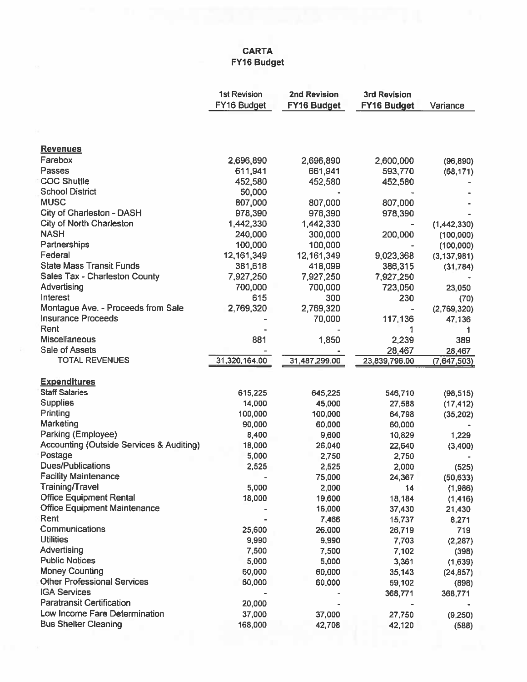## CARTA FY16 Budget

|                                                     | <b>1st Revision</b> | <b>2nd Revision</b> | <b>3rd Revision</b> |               |
|-----------------------------------------------------|---------------------|---------------------|---------------------|---------------|
|                                                     | FY16 Budget         | <b>FY16 Budget</b>  | <b>FY16 Budget</b>  | Variance      |
|                                                     |                     |                     |                     |               |
|                                                     |                     |                     |                     |               |
| <b>Revenues</b>                                     |                     |                     |                     |               |
| Farebox                                             | 2,696,890           | 2,696,890           | 2,600,000           | (96, 890)     |
| Passes                                              | 611,941             | 661,941             | 593,770             | (68, 171)     |
| <b>COC Shuttle</b>                                  | 452,580             | 452,580             | 452,580             |               |
| <b>School District</b>                              | 50,000              |                     |                     |               |
| <b>MUSC</b>                                         | 807,000             | 807,000             | 807,000             |               |
| City of Charleston - DASH                           | 978,390             | 978,390             | 978,390             |               |
| <b>City of North Charleston</b>                     | 1,442,330           | 1,442,330           |                     | (1,442,330)   |
| <b>NASH</b>                                         | 240,000             | 300,000             | 200,000             | (100, 000)    |
| Partnerships                                        | 100,000             | 100,000             |                     | (100, 000)    |
| Federal                                             | 12, 161, 349        | 12, 161, 349        | 9,023,368           | (3, 137, 981) |
| <b>State Mass Transit Funds</b>                     | 381,618             | 418,099             | 386,315             | (31, 784)     |
| Sales Tax - Charleston County                       | 7,927,250           | 7,927,250           | 7,927,250           |               |
| Advertising                                         | 700,000             | 700,000             | 723,050             | 23,050        |
| Interest                                            | 615                 | 300                 | 230                 | (70)          |
| Montague Ave. - Proceeds from Sale                  | 2,769,320           | 2,769,320           |                     | (2,769,320)   |
| <b>Insurance Proceeds</b>                           |                     | 70,000              | 117,136             | 47,136        |
| Rent                                                |                     |                     | 1                   | 1             |
| <b>Miscellaneous</b>                                | 881                 | 1,850               | 2,239               | 389           |
| Sale of Assets                                      |                     |                     | 28,467              | 28,467        |
| <b>TOTAL REVENUES</b>                               | 31,320,164.00       | 31,487,299.00       | 23,839,796.00       | (7,647,503)   |
|                                                     |                     |                     |                     |               |
| <b>Expenditures</b>                                 |                     |                     |                     |               |
| <b>Staff Salaries</b>                               | 615,225             | 645,225             | 546,710             | (98, 515)     |
| <b>Supplies</b>                                     | 14,000              | 45,000              | 27,588              | (17, 412)     |
| Printing                                            | 100,000             | 100,000             | 64,798              | (35, 202)     |
| Marketing                                           | 90,000              | 60,000              | 60,000              |               |
| Parking (Employee)                                  | 8,400               | 9,600               | 10,829              | 1,229         |
| <b>Accounting (Outside Services &amp; Auditing)</b> | 18,000              | 26,040              | 22,640              | (3,400)       |
| Postage                                             | 5,000               | 2,750               | 2,750               |               |
| <b>Dues/Publications</b>                            | 2,525               | 2,525               | 2,000               | (525)         |
| <b>Facility Maintenance</b>                         |                     | 75,000              | 24,367              | (50, 633)     |
| <b>Training/Travel</b>                              | 5,000               | 2,000               | 14                  | (1,986)       |
| <b>Office Equipment Rental</b>                      | 18,000              | 19,600              | 18,184              | (1, 416)      |
| <b>Office Equipment Maintenance</b>                 |                     | 16,000              | 37,430              | 21,430        |
| Rent                                                |                     | 7,466               | 15,737              |               |
| Communications                                      | 25,600              | 26,000              |                     | 8,271<br>719  |
| <b>Utilities</b>                                    | 9,990               | 9,990               | 26,719<br>7,703     | (2, 287)      |
| Advertising                                         | 7,500               | 7,500               |                     |               |
| <b>Public Notices</b>                               | 5,000               |                     | 7,102               | (398)         |
| <b>Money Counting</b>                               | 60,000              | 5,000               | 3,361               | (1,639)       |
| <b>Other Professional Services</b>                  |                     | 60,000              | 35,143              | (24, 857)     |
| <b>IGA Services</b>                                 | 60,000              | 60,000              | 59,102              | (898)         |
| <b>Paratransit Certification</b>                    |                     |                     | 368,771             | 368,771       |
| Low Income Fare Determination                       | 20,000              |                     |                     |               |
|                                                     | 37,000              | 37,000              | 27,750              | (9,250)       |
| <b>Bus Shelter Cleaning</b>                         | 168,000             | 42,708              | 42,120              | (588)         |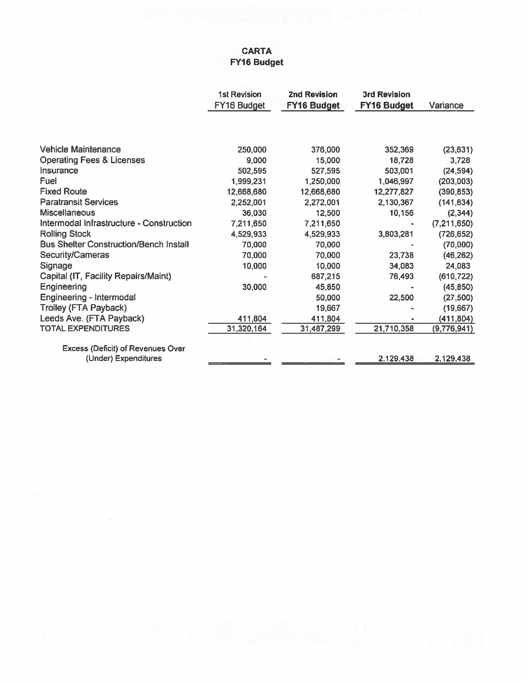## **CARTA** FY16 Budget

|                                               | <b>1st Revision</b> | <b>2nd Revision</b> | <b>3rd Revision</b> |             |
|-----------------------------------------------|---------------------|---------------------|---------------------|-------------|
|                                               | FY16 Budget         | <b>FY16 Budget</b>  | FY16 Budget         | Variance    |
|                                               |                     |                     |                     |             |
|                                               |                     |                     |                     |             |
| <b>Vehicle Maintenance</b>                    | 250,000             | 376,000             | 352,369             | (23, 631)   |
| <b>Operating Fees &amp; Licenses</b>          | 9,000               | 15,000              | 18,728              | 3,728       |
| Insurance                                     | 502,595             | 527,595             | 503,001             | (24, 594)   |
| Fuel                                          | 1,999,231           | 1,250,000           | 1,046,997           | (203,003)   |
| <b>Fixed Route</b>                            | 12,668,680          | 12,668,680          | 12,277,827          | (390, 853)  |
| <b>Paratransit Services</b>                   | 2,252,001           | 2,272,001           | 2,130,367           | (141, 634)  |
| <b>Miscellaneous</b>                          | 36,030              | 12,500              | 10,156              | (2, 344)    |
| Intermodal Infrastructure - Construction      | 7,211,650           | 7,211,650           |                     | (7,211,650) |
| <b>Rolling Stock</b>                          | 4,529,933           | 4,529,933           | 3,803,281           | (726, 652)  |
| <b>Bus Shelter Construction/Bench Install</b> | 70,000              | 70,000              |                     | (70,000)    |
| Security/Cameras                              | 70,000              | 70,000              | 23,738              | (46, 262)   |
| Signage                                       | 10,000              | 10,000              | 34,083              | 24,083      |
| Capital (IT, Facility Repairs/Maint)          |                     | 687,215             | 76,493              | (610, 722)  |
| Engineering                                   | 30,000              | 45,850              |                     | (45, 850)   |
| Engineering - Intermodal                      |                     | 50,000              | 22,500              | (27, 500)   |
| Trolley (FTA Payback)                         |                     | 19,667              |                     | (19,667)    |
| Leeds Ave. (FTA Payback)                      | 411,804             | 411,804             |                     | (411, 804)  |
| <b>TOTAL EXPENDITURES</b>                     | 31,320,164          | 31,487,299          | 21,710,358          | (9,776,941) |
|                                               |                     |                     |                     |             |
| <b>Excess (Deficit) of Revenues Over</b>      |                     |                     |                     |             |
| (Under) Expenditures                          |                     |                     | 2,129,438           | 2,129,438   |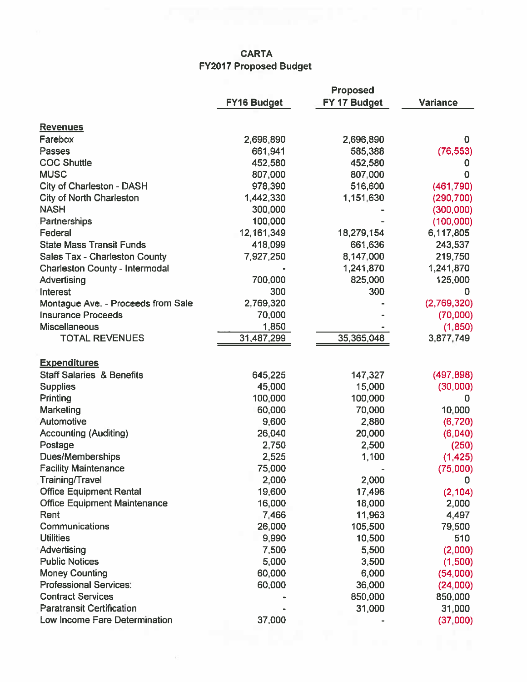## **CARTA FY2017 Proposed Budget**

|                                       |                    | <b>Proposed</b> |                 |
|---------------------------------------|--------------------|-----------------|-----------------|
|                                       | <b>FY16 Budget</b> | FY 17 Budget    | <b>Variance</b> |
| <b>Revenues</b>                       |                    |                 |                 |
| Farebox                               | 2,696,890          | 2,696,890       | 0               |
| Passes                                | 661,941            | 585,388         | (76, 553)       |
| <b>COC Shuttle</b>                    | 452,580            | 452,580         | 0               |
| <b>MUSC</b>                           | 807,000            | 807,000         | 0               |
| City of Charleston - DASH             | 978,390            | 516,600         | (461, 790)      |
| <b>City of North Charleston</b>       | 1,442,330          | 1,151,630       | (290, 700)      |
| <b>NASH</b>                           | 300,000            |                 | (300, 000)      |
| Partnerships                          | 100,000            |                 | (100,000)       |
| Federal                               | 12, 161, 349       | 18,279,154      | 6,117,805       |
| <b>State Mass Transit Funds</b>       | 418,099            | 661,636         | 243,537         |
| <b>Sales Tax - Charleston County</b>  | 7,927,250          | 8,147,000       | 219,750         |
| <b>Charleston County - Intermodal</b> |                    | 1,241,870       | 1,241,870       |
| Advertising                           | 700,000            | 825,000         | 125,000         |
| Interest                              | 300                | 300             | 0               |
| Montague Ave. - Proceeds from Sale    | 2,769,320          |                 | (2,769,320)     |
| <b>Insurance Proceeds</b>             | 70,000             |                 | (70,000)        |
| <b>Miscellaneous</b>                  | 1,850              |                 | (1, 850)        |
| <b>TOTAL REVENUES</b>                 | 31,487,299         | 35,365,048      | 3,877,749       |
|                                       |                    |                 |                 |
| <b>Expenditures</b>                   |                    |                 |                 |
| <b>Staff Salaries &amp; Benefits</b>  | 645,225            | 147,327         | (497, 898)      |
| <b>Supplies</b>                       | 45,000             | 15,000          | (30,000)        |
| Printing                              | 100,000            | 100,000         | 0               |
| Marketing                             | 60,000             | 70,000          | 10,000          |
| Automotive                            | 9,600              | 2,880           | (6, 720)        |
| <b>Accounting (Auditing)</b>          | 26,040             | 20,000          | (6,040)         |
| Postage                               | 2,750              | 2,500           | (250)           |
| Dues/Memberships                      | 2,525              | 1,100           | (1, 425)        |
| <b>Facility Maintenance</b>           | 75,000             |                 | (75,000)        |
| Training/Travel                       | 2,000              | 2,000           | 0               |
| <b>Office Equipment Rental</b>        | 19,600             | 17,496          | (2, 104)        |
| <b>Office Equipment Maintenance</b>   | 16,000             | 18,000          | 2,000           |
| Rent                                  | 7,466              | 11,963          | 4,497           |
| Communications                        | 26,000             | 105,500         | 79,500          |
| <b>Utilities</b>                      | 9,990              | 10,500          | 510             |
| Advertising                           | 7,500              | 5,500           | (2,000)         |
| <b>Public Notices</b>                 | 5,000              | 3,500           | (1,500)         |
| <b>Money Counting</b>                 | 60,000             | 6,000           | (54,000)        |
| <b>Professional Services:</b>         | 60,000             | 36,000          | (24000)         |
| <b>Contract Services</b>              |                    | 850,000         | 850,000         |
| <b>Paratransit Certification</b>      |                    | 31,000          | 31,000          |
| Low Income Fare Determination         | 37,000             |                 | (37,000)        |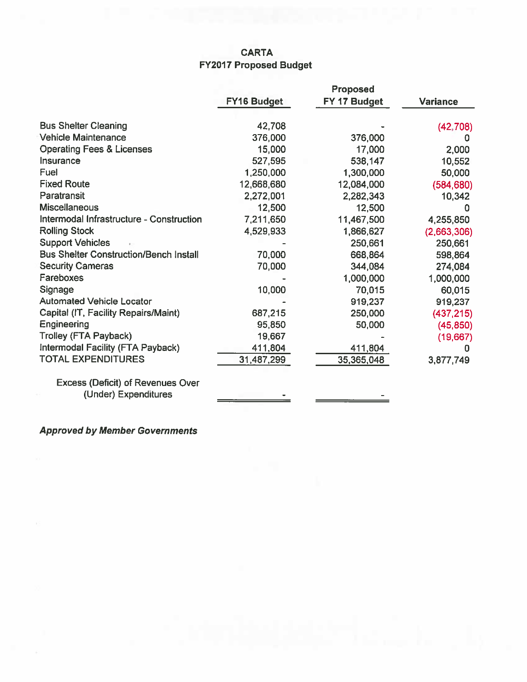## **CARTA FY2017 Proposed Budget**

|                                               |                    | Proposed     |                 |
|-----------------------------------------------|--------------------|--------------|-----------------|
|                                               | <b>FY16 Budget</b> | FY 17 Budget | <b>Variance</b> |
| <b>Bus Shelter Cleaning</b>                   | 42,708             |              | (42, 708)       |
| <b>Vehicle Maintenance</b>                    | 376,000            | 376,000      | o               |
| <b>Operating Fees &amp; Licenses</b>          | 15,000             | 17,000       | 2,000           |
| Insurance                                     | 527,595            | 538,147      | 10,552          |
| Fuel                                          | 1,250,000          | 1,300,000    | 50,000          |
| <b>Fixed Route</b>                            | 12,668,680         | 12,084,000   | (584, 680)      |
| Paratransit                                   | 2,272,001          | 2,282,343    | 10,342          |
| <b>Miscellaneous</b>                          | 12,500             | 12,500       | o               |
| Intermodal Infrastructure - Construction      | 7,211,650          | 11,467,500   | 4,255,850       |
| <b>Rolling Stock</b>                          | 4,529,933          | 1,866,627    | (2,663,306)     |
| <b>Support Vehicles</b>                       |                    | 250,661      | 250,661         |
| <b>Bus Shelter Construction/Bench Install</b> | 70,000             | 668,864      | 598,864         |
| <b>Security Cameras</b>                       | 70,000             | 344,084      | 274,084         |
| <b>Fareboxes</b>                              |                    | 1,000,000    | 1,000,000       |
| Signage                                       | 10,000             | 70,015       | 60,015          |
| <b>Automated Vehicle Locator</b>              |                    | 919,237      | 919,237         |
| Capital (IT, Facility Repairs/Maint)          | 687,215            | 250,000      | (437, 215)      |
| Engineering                                   | 95,850             | 50,000       | (45, 850)       |
| <b>Trolley (FTA Payback)</b>                  | 19,667             |              | (19,667)        |
| Intermodal Facility (FTA Payback)             | 411,804            | 411,804      |                 |
| <b>TOTAL EXPENDITURES</b>                     | 31,487,299         | 35,365,048   | 3,877,749       |
| <b>Excess (Deficit) of Revenues Over</b>      |                    |              |                 |
| (Hoder) Expenditures                          |                    |              |                 |

**Approved by Member Governments**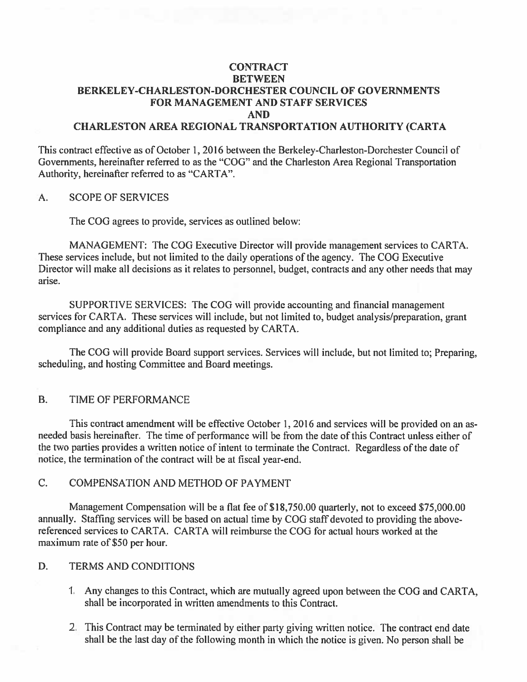## **CONTRACT BETWEEN** BERKELEY-CHARLESTON-DORCHESTER COUNCIL OF GOVERNMENTS **FOR MANAGEMENT AND STAFF SERVICES AND**

## **CHARLESTON AREA REGIONAL TRANSPORTATION AUTHORITY (CARTA**

This contract effective as of October 1, 2016 between the Berkeley-Charleston-Dorchester Council of Governments, hereinafter referred to as the "COG" and the Charleston Area Regional Transportation Authority, hereinafter referred to as "CARTA".

#### **SCOPE OF SERVICES** A.

The COG agrees to provide, services as outlined below:

MANAGEMENT: The COG Executive Director will provide management services to CARTA. These services include, but not limited to the daily operations of the agency. The COG Executive Director will make all decisions as it relates to personnel, budget, contracts and any other needs that may arise.

SUPPORTIVE SERVICES: The COG will provide accounting and financial management services for CARTA. These services will include, but not limited to, budget analysis/preparation, grant compliance and any additional duties as requested by CARTA.

The COG will provide Board support services. Services will include, but not limited to: Preparing. scheduling, and hosting Committee and Board meetings.

#### $B.$ TIME OF PERFORMANCE

This contract amendment will be effective October 1, 2016 and services will be provided on an asneeded basis hereinafter. The time of performance will be from the date of this Contract unless either of the two parties provides a written notice of intent to terminate the Contract. Regardless of the date of notice, the termination of the contract will be at fiscal year-end.

#### $C_{\cdot}$ **COMPENSATION AND METHOD OF PAYMENT**

Management Compensation will be a flat fee of \$18,750.00 quarterly, not to exceed \$75,000.00 annually. Staffing services will be based on actual time by COG staff devoted to providing the abovereferenced services to CARTA. CARTA will reimburse the COG for actual hours worked at the maximum rate of \$50 per hour.

#### D. **TERMS AND CONDITIONS**

- 1. Any changes to this Contract, which are mutually agreed upon between the COG and CARTA, shall be incorporated in written amendments to this Contract.
- 2. This Contract may be terminated by either party giving written notice. The contract end date shall be the last day of the following month in which the notice is given. No person shall be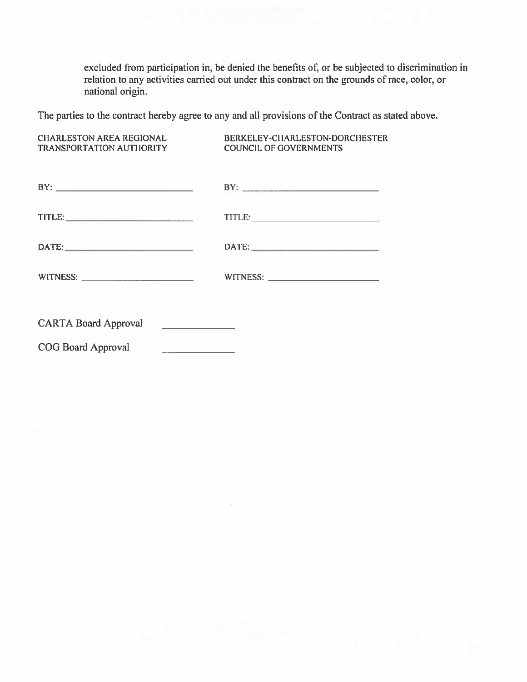excluded from participation in, be denied the benefits of, or be subjected to discrimination in relation to any activities carried out under this contract on the grounds of race, color, or national origin.

The parties to the contract hereby agree to any and all provisions of the Contract as stated above.

**CHARLESTON AREA REGIONAL** BERKELEY-CHARLESTON-DORCHESTER TRANSPORTATION AUTHORITY **COUNCIL OF GOVERNMENTS** 

|                                                           | BY: |
|-----------------------------------------------------------|-----|
|                                                           |     |
| $\mathsf{DATE:}\hspace{0.05cm}\underline{\hspace{1.5cm}}$ |     |
|                                                           |     |
|                                                           |     |
| <b>CARTA Board Approval</b>                               |     |

COG Board Approval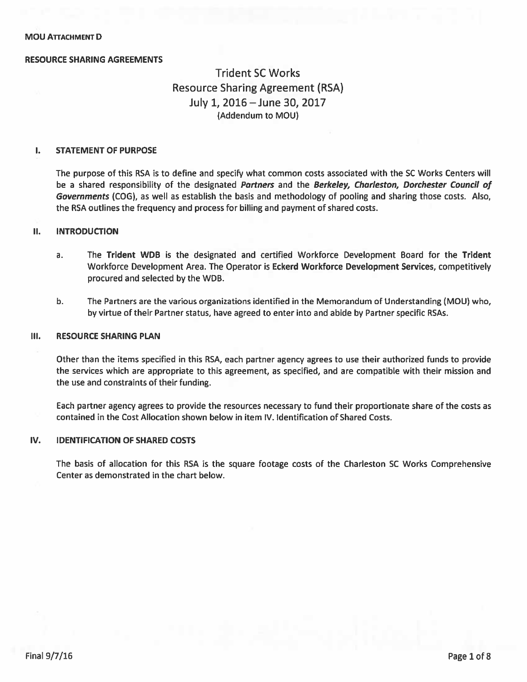### **RESOURCE SHARING AGREEMENTS**

## **Trident SC Works Resource Sharing Agreement (RSA)** July 1, 2016 - June 30, 2017 (Addendum to MOU)

#### I. **STATEMENT OF PURPOSE**

The purpose of this RSA is to define and specify what common costs associated with the SC Works Centers will be a shared responsibility of the designated Partners and the Berkeley, Charleston, Dorchester Council of Governments (COG), as well as establish the basis and methodology of pooling and sharing those costs. Also, the RSA outlines the frequency and process for billing and payment of shared costs.

#### П. **INTRODUCTION**

- $a<sub>r</sub>$ The Trident WDB is the designated and certified Workforce Development Board for the Trident Workforce Development Area. The Operator is Eckerd Workforce Development Services, competitively procured and selected by the WDB.
- $b.$ The Partners are the various organizations identified in the Memorandum of Understanding (MOU) who, by virtue of their Partner status, have agreed to enter into and abide by Partner specific RSAs.

#### Ш. **RESOURCE SHARING PLAN**

Other than the items specified in this RSA, each partner agency agrees to use their authorized funds to provide the services which are appropriate to this agreement, as specified, and are compatible with their mission and the use and constraints of their funding.

Each partner agency agrees to provide the resources necessary to fund their proportionate share of the costs as contained in the Cost Allocation shown below in item IV. Identification of Shared Costs.

#### IV. **IDENTIFICATION OF SHARED COSTS**

The basis of allocation for this RSA is the square footage costs of the Charleston SC Works Comprehensive Center as demonstrated in the chart below.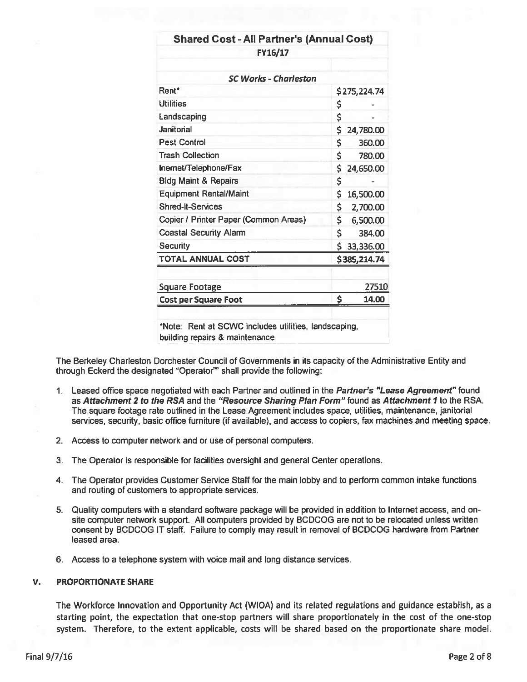| <b>Shared Cost - All Partner's (Annual Cost)</b>     |     |              |
|------------------------------------------------------|-----|--------------|
| FY16/17                                              |     |              |
| <b>SC Works - Charleston</b>                         |     |              |
| Rent <sup>*</sup>                                    |     | \$275,224.74 |
| <b>Utilities</b>                                     | \$  |              |
| Landscaping                                          | \$  |              |
| Janitorial                                           | \$  | 24,780.00    |
| <b>Pest Control</b>                                  | \$  | 360.00       |
| <b>Trash Collection</b>                              | \$  | 780.00       |
| Inernet/Telephone/Fax                                | \$  | 24,650.00    |
| <b>Bldg Maint &amp; Repairs</b>                      | \$  |              |
| <b>Equipment Rental/Maint</b>                        | \$  | 16,500.00    |
| <b>Shred-It-Services</b>                             | \$  | 2,700.00     |
| Copier / Printer Paper (Common Areas)                | \$. | 6,500.00     |
| <b>Coastal Security Alarm</b>                        | \$  | 384.00       |
| <b>Security</b>                                      | \$  | 33,336.00    |
| <b>TOTAL ANNUAL COST</b>                             |     | \$385,214.74 |
| <b>Square Footage</b>                                |     | 27510        |
| <b>Cost per Square Foot</b>                          | \$  | 14.00        |
| *Note: Rent at SCWC includes utilities, landscaping, |     |              |

The Berkeley Charleston Dorchester Council of Governments in its capacity of the Administrative Entity and through Eckerd the designated "Operator"" shall provide the following:

- 1. Leased office space negotiated with each Partner and outlined in the Partner's "Lease Agreement" found as Attachment 2 to the RSA and the "Resource Sharing Plan Form" found as Attachment 1 to the RSA. The square footage rate outlined in the Lease Agreement includes space, utilities, maintenance, janitorial services, security, basic office furniture (if available), and access to copiers, fax machines and meeting space.
- 2. Access to computer network and or use of personal computers.
- 3. The Operator is responsible for facilities oversight and general Center operations.
- 4. The Operator provides Customer Service Staff for the main lobby and to perform common intake functions and routing of customers to appropriate services.
- 5. Quality computers with a standard software package will be provided in addition to Internet access, and onsite computer network support. All computers provided by BCDCOG are not to be relocated unless written consent by BCDCOG IT staff. Failure to comply may result in removal of BCDCOG hardware from Partner leased area.
- 6. Access to a telephone system with voice mail and long distance services.

#### **PROPORTIONATE SHARE** V.

The Workforce Innovation and Opportunity Act (WIOA) and its related regulations and guidance establish, as a starting point, the expectation that one-stop partners will share proportionately in the cost of the one-stop system. Therefore, to the extent applicable, costs will be shared based on the proportionate share model.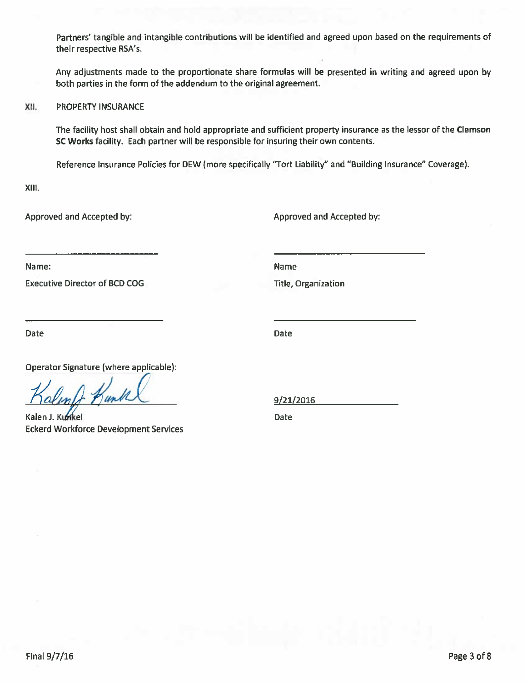Partners' tangible and intangible contributions will be identified and agreed upon based on the requirements of their respective RSA's.

Any adjustments made to the proportionate share formulas will be presented in writing and agreed upon by both parties in the form of the addendum to the original agreement.

XII. **PROPERTY INSURANCE** 

> The facility host shall obtain and hold appropriate and sufficient property insurance as the lessor of the Clemson SC Works facility. Each partner will be responsible for insuring their own contents.

Reference Insurance Policies for DEW (more specifically "Tort Liability" and "Building Insurance" Coverage).

XIII.

Approved and Accepted by:

Approved and Accepted by:

Name:

**Executive Director of BCD COG** 

Name

**Title, Organization** 

**Date** 

**Date** 

Operator Signature (where applicable):

uns

Kalen J. Kunkel **Eckerd Workforce Development Services** 

9/21/2016

Date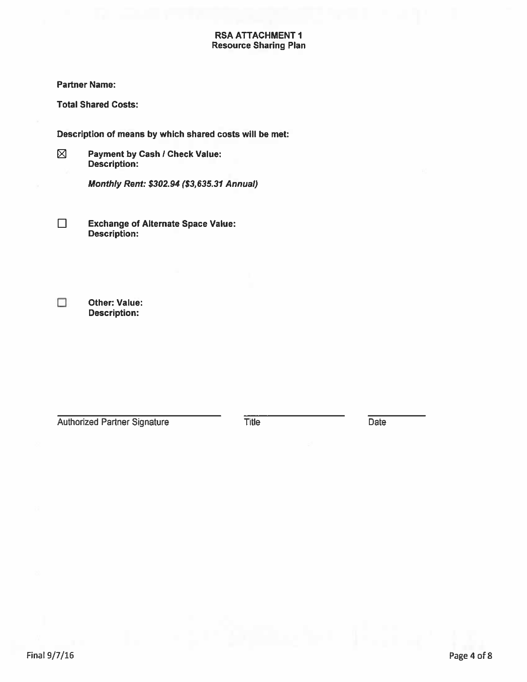## **RSA ATTACHMENT 1 Resource Sharing Plan**

### **Partner Name:**

**Total Shared Costs:** 

Description of means by which shared costs will be met:

 $\boxtimes$ 

 $\Box$ 

**Payment by Cash / Check Value:** Description:

Monthly Rent: \$302.94 (\$3,635.31 Annual)

 $\Box$ **Exchange of Alternate Space Value: Description:** 

**Other: Value: Description:** 

**Authorized Partner Signature** 

**Title** 

Date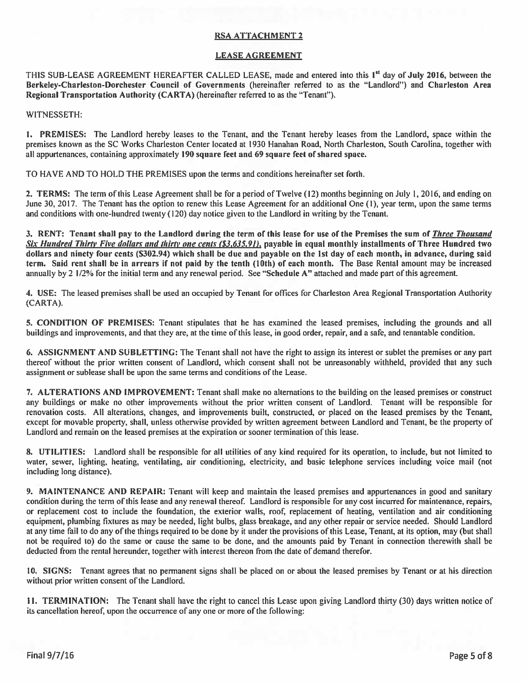### **RSA ATTACHMENT 2**

### **LEASE AGREEMENT**

THIS SUB-LEASE AGREEMENT HEREAFTER CALLED LEASE, made and entered into this 1<sup>st</sup> day of July 2016, between the Berkeley-Charleston-Dorchester Council of Governments (hereinafter referred to as the "Landlord") and Charleston Area Regional Transportation Authority (CARTA) (hereinafter referred to as the "Tenant").

WITNESSETH:

1. PREMISES: The Landlord hereby leases to the Tenant, and the Tenant hereby leases from the Landlord, space within the premises known as the SC Works Charleston Center located at 1930 Hanahan Road, North Charleston, South Carolina, together with all appurtenances, containing approximately 190 square feet and 69 square feet of shared space.

TO HAVE AND TO HOLD THE PREMISES upon the terms and conditions hereinafter set forth.

2. TERMS: The term of this Lease Agreement shall be for a period of Twelve (12) months beginning on July 1, 2016, and ending on June 30, 2017. The Tenant has the option to renew this Lease Agreement for an additional One (1), year term, upon the same terms and conditions with one-hundred twenty (120) day notice given to the Landlord in writing by the Tenant.

3. RENT: Tenant shall pay to the Landlord during the term of this lease for use of the Premises the sum of Three Thousand Six Hundred Thirty Five dollars and thirty one cents (\$3,635.91), payable in equal monthly installments of Three Hundred two dollars and ninety four cents (\$302.94) which shall be due and payable on the 1st day of each month, in advance, during said term. Said rent shall be in arrears if not paid by the tenth (10th) of each month. The Base Rental amount may be increased annually by 2  $1/2\%$  for the initial term and any renewal period. See "Schedule A" attached and made part of this agreement.

4. USE: The leased premises shall be used an occupied by Tenant for offices for Charleston Area Regional Transportation Authority (CARTA).

5. CONDITION OF PREMISES: Tenant stipulates that he has examined the leased premises, including the grounds and all buildings and improvements, and that they are, at the time of this lease, in good order, repair, and a safe, and tenantable condition.

6. ASSIGNMENT AND SUBLETTING: The Tenant shall not have the right to assign its interest or sublet the premises or any part thereof without the prior written consent of Landlord, which consent shall not be unreasonably withheld, provided that any such assignment or sublease shall be upon the same terms and conditions of the Lease.

7. ALTERATIONS AND IMPROVEMENT: Tenant shall make no alternations to the building on the leased premises or construct any buildings or make no other improvements without the prior written consent of Landlord. Tenant will be responsible for renovation costs. All alterations, changes, and improvements built, constructed, or placed on the leased premises by the Tenant, except for movable property, shall, unless otherwise provided by written agreement between Landlord and Tenant, be the property of Landlord and remain on the leased premises at the expiration or sooner termination of this lease.

8. UTILITIES: Landlord shall be responsible for all utilities of any kind required for its operation, to include, but not limited to water, sewer, lighting, heating, ventilating, air conditioning, electricity, and basic telephone services including voice mail (not including long distance).

9. MAINTENANCE AND REPAIR: Tenant will keep and maintain the leased premises and appurtenances in good and sanitary condition during the term of this lease and any renewal thereof. Landlord is responsible for any cost incurred for maintenance, repairs, or replacement cost to include the foundation, the exterior walls, roof, replacement of heating, ventilation and air conditioning equipment, plumbing fixtures as may be needed, light bulbs, glass breakage, and any other repair or service needed. Should Landlord at any time fail to do any of the things required to be done by it under the provisions of this Lease, Tenant, at its option, may (but shall not be required to) do the same or cause the same to be done, and the amounts paid by Tenant in connection therewith shall be deducted from the rental hereunder, together with interest thereon from the date of demand therefor.

10. SIGNS: Tenant agrees that no permanent signs shall be placed on or about the leased premises by Tenant or at his direction without prior written consent of the Landlord.

11. TERMINATION: The Tenant shall have the right to cancel this Lease upon giving Landlord thirty (30) days written notice of its cancellation hereof, upon the occurrence of any one or more of the following: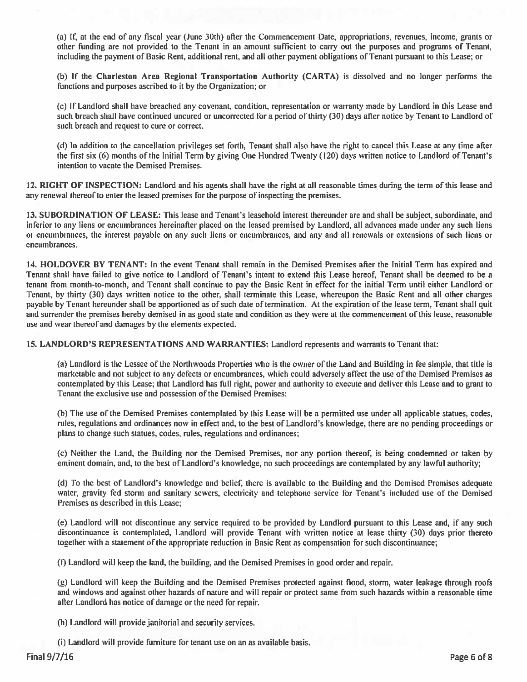(a) If, at the end of any fiscal year (June 30th) after the Commencement Date, appropriations, revenues, income, grants or other funding are not provided to the Tenant in an amount sufficient to carry out the purposes and programs of Tenant, including the payment of Basic Rent, additional rent, and all other payment obligations of Tenant pursuant to this Lease; or

(b) If the Charleston Area Regional Transportation Authority (CARTA) is dissolved and no longer performs the functions and purposes ascribed to it by the Organization; or

(c) If Landlord shall have breached any covenant, condition, representation or warranty made by Landlord in this Lease and such breach shall have continued uncured or uncorrected for a period of thirty (30) days after notice by Tenant to Landlord of such breach and request to cure or correct.

(d) In addition to the cancellation privileges set forth, Tenant shall also have the right to cancel this Lease at any time after the first six (6) months of the Initial Term by giving One Hundred Twenty (120) days written notice to Landlord of Tenant's intention to vacate the Demised Premises.

12. RIGHT OF INSPECTION: Landlord and his agents shall have the right at all reasonable times during the term of this lease and any renewal thereof to enter the leased premises for the purpose of inspecting the premises.

13. SUBORDINATION OF LEASE: This lease and Tenant's leasehold interest thereunder are and shall be subject, subordinate, and inferior to any liens or encumbrances hereinafter placed on the leased premised by Landlord, all advances made under any such liens or encumbrances, the interest payable on any such liens or encumbrances, and any and all renewals or extensions of such liens or encumbrances.

14. HOLDOVER BY TENANT: In the event Tenant shall remain in the Demised Premises after the Initial Term has expired and Tenant shall have failed to give notice to Landlord of Tenant's intent to extend this Lease hereof, Tenant shall be deemed to be a tenant from month-to-month, and Tenant shall continue to pay the Basic Rent in effect for the initial Term until either Landlord or Tenant, by thirty (30) days written notice to the other, shall terminate this Lease, whereupon the Basic Rent and all other charges payable by Tenant hereunder shall be apportioned as of such date of termination. At the expiration of the lease term, Tenant shall quit and surrender the premises hereby demised in as good state and condition as they were at the commencement of this lease, reasonable use and wear thereof and damages by the elements expected.

15. LANDLORD'S REPRESENTATIONS AND WARRANTIES: Landlord represents and warrants to Tenant that:

(a) Landlord is the Lessee of the Northwoods Properties who is the owner of the Land and Building in fee simple, that title is marketable and not subject to any defects or encumbrances, which could adversely affect the use of the Demised Premises as contemplated by this Lease; that Landlord has full right, power and authority to execute and deliver this Lease and to grant to Tenant the exclusive use and possession of the Demised Premises:

(b) The use of the Demised Premises contemplated by this Lease will be a permitted use under all applicable statues, codes, rules, regulations and ordinances now in effect and, to the best of Landlord's knowledge, there are no pending proceedings or plans to change such statues, codes, rules, regulations and ordinances;

(c) Neither the Land, the Building nor the Demised Premises, nor any portion thereof, is being condemned or taken by eminent domain, and, to the best of Landlord's knowledge, no such proceedings are contemplated by any lawful authority;

(d) To the best of Landlord's knowledge and belief, there is available to the Building and the Demised Premises adequate water, gravity fed storm and sanitary sewers, electricity and telephone service for Tenant's included use of the Demised Premises as described in this Lease:

(e) Landlord will not discontinue any service required to be provided by Landlord pursuant to this Lease and, if any such discontinuance is contemplated, Landlord will provide Tenant with written notice at lease thirty (30) days prior thereto together with a statement of the appropriate reduction in Basic Rent as compensation for such discontinuance;

(f) Landlord will keep the land, the building, and the Demised Premises in good order and repair.

(g) Landlord will keep the Building and the Demised Premises protected against flood, storm, water leakage through roofs and windows and against other hazards of nature and will repair or protect same from such hazards within a reasonable time after Landlord has notice of damage or the need for repair.

(h) Landlord will provide janitorial and security services.

(i) Landlord will provide furniture for tenant use on an as available basis.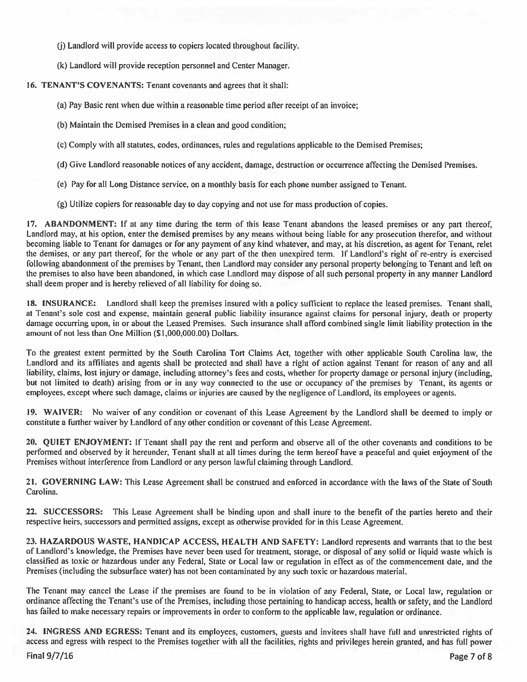(i) Landlord will provide access to copiers located throughout facility.

(k) Landlord will provide reception personnel and Center Manager.

### 16. TENANT'S COVENANTS: Tenant covenants and agrees that it shall:

(a) Pay Basic rent when due within a reasonable time period after receipt of an invoice;

- (b) Maintain the Demised Premises in a clean and good condition:
- (c) Comply with all statutes, codes, ordinances, rules and regulations applicable to the Demised Premises;
- (d) Give Landlord reasonable notices of any accident, damage, destruction or occurrence affecting the Demised Premises.
- (e) Pay for all Long Distance service, on a monthly basis for each phone number assigned to Tenant.
- (g) Utilize copiers for reasonable day to day copying and not use for mass production of copies.

17. ABANDONMENT: If at any time during the term of this lease Tenant abandons the leased premises or any part thereof, Landlord may, at his option, enter the demised premises by any means without being liable for any prosecution therefor, and without becoming liable to Tenant for damages or for any payment of any kind whatever, and may, at his discretion, as agent for Tenant, relet the demises, or any part thereof, for the whole or any part of the then unexpired term. If Landlord's right of re-entry is exercised following abandonment of the premises by Tenant, then Landlord may consider any personal property belonging to Tenant and left on the premises to also have been abandoned, in which case Landlord may dispose of all such personal property in any manner Landlord shall deem proper and is hereby relieved of all liability for doing so.

18. INSURANCE: Landlord shall keep the premises insured with a policy sufficient to replace the leased premises. Tenant shall, at Tenant's sole cost and expense, maintain general public liability insurance against claims for personal injury, death or property damage occurring upon, in or about the Leased Premises. Such insurance shall afford combined single limit liability protection in the amount of not less than One Million (\$1,000,000.00) Dollars.

To the greatest extent permitted by the South Carolina Tort Claims Act, together with other applicable South Carolina law, the Landlord and its affiliates and agents shall be protected and shall have a right of action against Tenant for reason of any and all liability, claims, lost injury or damage, including attorney's fees and costs, whether for property damage or personal injury (including, but not limited to death) arising from or in any way connected to the use or occupancy of the premises by Tenant, its agents or employees, except where such damage, claims or injuries are caused by the negligence of Landlord, its employees or agents.

19. WAIVER: No waiver of any condition or covenant of this Lease Agreement by the Landlord shall be deemed to imply or constitute a further waiver by Landlord of any other condition or covenant of this Lease Agreement.

20. QUIET ENJOYMENT: If Tenant shall pay the rent and perform and observe all of the other covenants and conditions to be performed and observed by it hereunder, Tenant shall at all times during the term hereof have a peaceful and quiet enjoyment of the Premises without interference from Landlord or any person lawful claiming through Landlord.

21. GOVERNING LAW: This Lease Agreement shall be construed and enforced in accordance with the laws of the State of South Carolina.

22. SUCCESSORS: This Lease Agreement shall be binding upon and shall inure to the benefit of the parties hereto and their respective heirs, successors and permitted assigns, except as otherwise provided for in this Lease Agreement.

23. HAZARDOUS WASTE, HANDICAP ACCESS, HEALTH AND SAFETY: Landlord represents and warrants that to the best of Landlord's knowledge, the Premises have never been used for treatment, storage, or disposal of any solid or liquid waste which is classified as toxic or hazardous under any Federal, State or Local law or regulation in effect as of the commencement date, and the Premises (including the subsurface water) has not been contaminated by any such toxic or hazardous material.

The Tenant may cancel the Lease if the premises are found to be in violation of any Federal, State, or Local law, regulation or ordinance affecting the Tenant's use of the Premises, including those pertaining to handicap access, health or safety, and the Landlord has failed to make necessary repairs or improvements in order to conform to the applicable law, regulation or ordinance.

24. INGRESS AND EGRESS: Tenant and its employees, customers, guests and invitees shall have full and unrestricted rights of access and egress with respect to the Premises together with all the facilities, rights and privileges herein granted, and has full power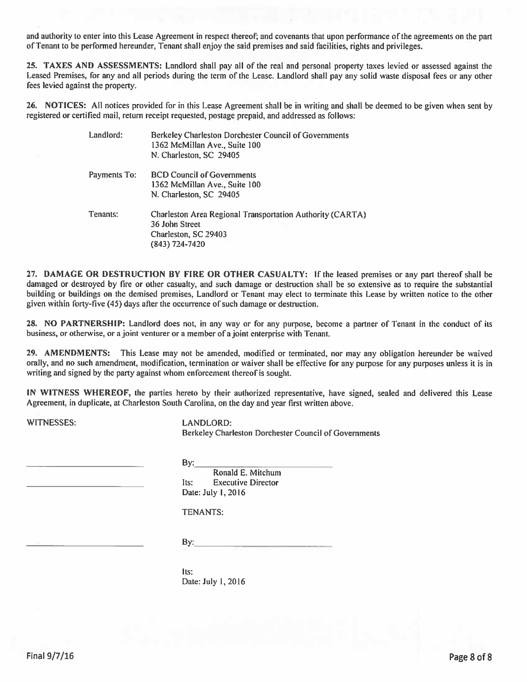and authority to enter into this Lease Agreement in respect thereof; and covenants that upon performance of the agreements on the part of Tenant to be performed hereunder, Tenant shall enjoy the said premises and said facilities, rights and privileges.

25. TAXES AND ASSESSMENTS: Landlord shall pay all of the real and personal property taxes levied or assessed against the Leased Premises, for any and all periods during the term of the Lease. Landlord shall pay any solid waste disposal fees or any other fees levied against the property.

26. NOTICES: All notices provided for in this Lease Agreement shall be in writing and shall be deemed to be given when sent by registered or certified mail, return receipt requested, postage prepaid, and addressed as follows:

| Landlord:    | Berkeley Charleston Dorchester Council of Governments<br>1362 McMillan Ave., Suite 100<br>N. Charleston, SC 29405              |
|--------------|--------------------------------------------------------------------------------------------------------------------------------|
| Payments To: | <b>BCD Council of Governments</b><br>1362 McMillan Ave., Suite 100<br>N. Charleston, SC 29405                                  |
| Tenants:     | <b>Charleston Area Regional Transportation Authority (CARTA)</b><br>36 John Street<br>Charleston, SC 29403<br>$(843)$ 724-7420 |

27. DAMAGE OR DESTRUCTION BY FIRE OR OTHER CASUALTY: If the leased premises or any part thereof shall be damaged or destroyed by fire or other casualty, and such damage or destruction shall be so extensive as to require the substantial building or buildings on the demised premises, Landlord or Tenant may elect to terminate this Lease by written notice to the other given within forty-five (45) days after the occurrence of such damage or destruction.

28. NO PARTNERSHIP: Landlord does not, in any way or for any purpose, become a partner of Tenant in the conduct of its business, or otherwise, or a joint venturer or a member of a joint enterprise with Tenant.

29. AMENDMENTS: This Lease may not be amended, modified or terminated, nor may any obligation hereunder be waived orally, and no such amendment, modification, termination or waiver shall be effective for any purpose for any purposes unless it is in writing and signed by the party against whom enforcement thereof is sought.

IN WITNESS WHEREOF, the parties hereto by their authorized representative, have signed, sealed and delivered this Lease Agreement, in duplicate, at Charleston South Carolina, on the day and year first written above.

WITNESSES:

**LANDLORD:** Berkeley Charleston Dorchester Council of Governments

By:

Ronald E. Mitchum Its: **Executive Director** Date: July 1, 2016

TENANTS:

By:

lts: Date: July 1, 2016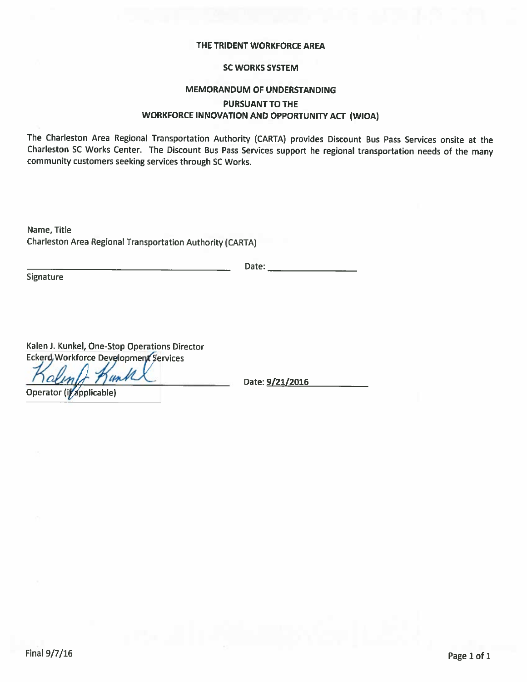### THE TRIDENT WORKFORCE AREA

## **SC WORKS SYSTEM**

## **MEMORANDUM OF UNDERSTANDING PURSUANT TO THE** WORKFORCE INNOVATION AND OPPORTUNITY ACT (WIOA)

The Charleston Area Regional Transportation Authority (CARTA) provides Discount Bus Pass Services onsite at the Charleston SC Works Center. The Discount Bus Pass Services support he regional transportation needs of the many community customers seeking services through SC Works.

Name, Title Charleston Area Regional Transportation Authority (CARTA)

Date:  $\_\_$ 

Signature

Kalen J. Kunkel, One-Stop Operations Director **Eckerd, Workforce Development Services** 

unt

Operator (if applicable)

Date: 9/21/2016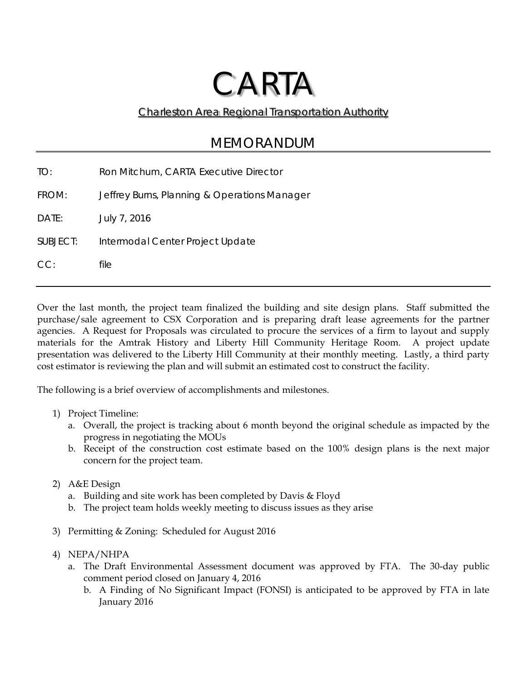# CARTA

Charleston Area Regional Transportation Authority

## MEMORANDUM

TO: Ron Mitchum, CARTA Executive Director FROM: Jeffrey Burns, Planning & Operations Manager DATE: July 7, 2016 SUBJECT: Intermodal Center Project Update CC: file

Over the last month, the project team finalized the building and site design plans. Staff submitted the purchase/sale agreement to CSX Corporation and is preparing draft lease agreements for the partner agencies. A Request for Proposals was circulated to procure the services of a firm to layout and supply materials for the Amtrak History and Liberty Hill Community Heritage Room. A project update presentation was delivered to the Liberty Hill Community at their monthly meeting. Lastly, a third party cost estimator is reviewing the plan and will submit an estimated cost to construct the facility.

The following is a brief overview of accomplishments and milestones.

- 1) Project Timeline:
	- a. Overall, the project is tracking about 6 month beyond the original schedule as impacted by the progress in negotiating the MOUs
	- b. Receipt of the construction cost estimate based on the 100% design plans is the next major concern for the project team.
- 2) A&E Design
	- a. Building and site work has been completed by Davis & Floyd
	- b. The project team holds weekly meeting to discuss issues as they arise
- 3) Permitting & Zoning: Scheduled for August 2016
- 4) NEPA/NHPA
	- a. The Draft Environmental Assessment document was approved by FTA. The 30-day public comment period closed on January 4, 2016
		- b. A Finding of No Significant Impact (FONSI) is anticipated to be approved by FTA in late January 2016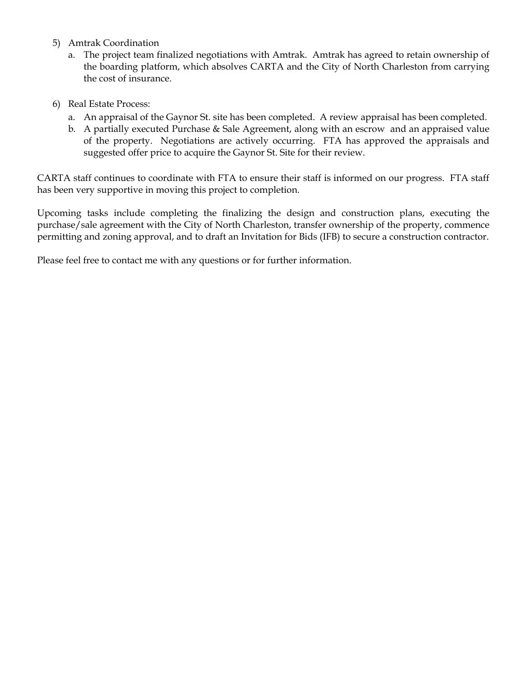- 5) Amtrak Coordination
	- a. The project team finalized negotiations with Amtrak. Amtrak has agreed to retain ownership of the boarding platform, which absolves CARTA and the City of North Charleston from carrying the cost of insurance.
- 6) Real Estate Process:
	- a. An appraisal of the Gaynor St. site has been completed. A review appraisal has been completed.
	- b. A partially executed Purchase & Sale Agreement, along with an escrow and an appraised value of the property. Negotiations are actively occurring. FTA has approved the appraisals and suggested offer price to acquire the Gaynor St. Site for their review.

CARTA staff continues to coordinate with FTA to ensure their staff is informed on our progress. FTA staff has been very supportive in moving this project to completion.

Upcoming tasks include completing the finalizing the design and construction plans, executing the purchase/sale agreement with the City of North Charleston, transfer ownership of the property, commence permitting and zoning approval, and to draft an Invitation for Bids (IFB) to secure a construction contractor.

Please feel free to contact me with any questions or for further information.